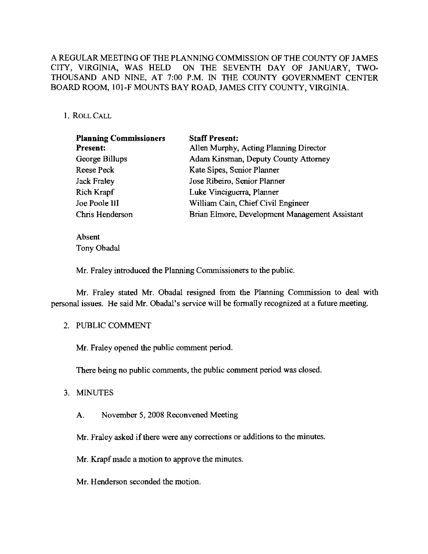# A REGULAR MEETING OF THE PLANNING COMMISSION OF THE COUNTY OF JAMES CITY, VIRGINIA, WAS HELD ON THE SEVENTH DAY OF JANUARY, TWO-THOUSAND AND NINE, AT 7:00 P.M. IN THE COUNTY GOVERNMENT CENTER BOARD ROOM, 101-F MOUNTS BAY ROAD, JAMES CITY COUNTY, VIRGINIA.

### 1. ROLLCALL

| <b>Planning Commissioners</b> | <b>Staff Present:</b>                          |
|-------------------------------|------------------------------------------------|
| Present:                      | Allen Murphy, Acting Planning Director         |
| George Billups                | Adam Kinsman, Deputy County Attorney           |
| Reese Peck                    | Kate Sipes, Senior Planner                     |
| <b>Jack Fraley</b>            | Jose Ribeiro, Senior Planner                   |
| Rich Krapf                    | Luke Vinciguerra, Planner                      |
| Joe Poole III                 | William Cain, Chief Civil Engineer             |
| Chris Henderson               | Brian Elmore, Development Management Assistant |

Absent Tony Obadal

Mr. Fraley introduced the Planning Commissioners to the public.

Mr. Fraley stated Mr. Obadal resigned from the Planning Commission to deal with personal issues. He said Mr. Obadal's service will be formally recognized at a future meeting.

#### 2. PUBLIC COMMENT

Mr. Fraley opened the public comment period.

There being no public comments, the public comment period was closed.

#### 3. MINUTES

A. November 5, 2008 Reconvened Meeting

Mr. Fraley asked if there were any corrections or additions to the minutes.

- Mr. Krapf made a motion to approve the minutes.
- Mr. Henderson seconded the motion.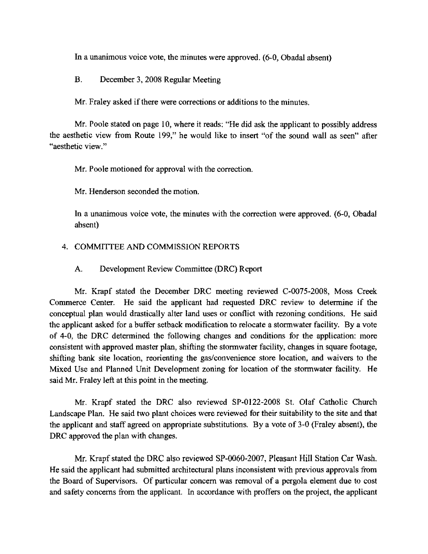In a unanimous voice vote, the minutes were approved. (6-0, Obadal absent)

B. December 3, 2008 Regular Meeting

Mr. Fraley asked if there were corrections or additions to the minutes.

Mr. Poole stated on page 10, where it reads: "He did ask the applicant to possibly address the aesthetic view from Route 199," he would like to insert "of the sound wall as seen" after "aesthetic view."

Mr. Poole motioned for approval with the correction.

Mr. Henderson seconded the motion.

In a unanimous voice vote, the minutes with the correction were approved. (6-0, Obadal absent)

## 4. COMMITTEE AND COMMISSION REPORTS

## A. Development Review Committee (ORC) Report

Mr. Krapf stated the December DRC meeting reviewed C-007S-2008, Moss Creek Commerce Center. He said the applicant had requested DRC review to determine if the conceptual plan would drastically alter land uses or conflict with rezoning conditions. He said the applicant asked for a buffer setback modification to relocate a storrnwater facility. By a vote of 4-0, the DRC determined the following changes and conditions for the application: more consistent with approved master plan, shifting the storrnwater facility, changes in square footage, shifting bank site location, reorienting the gas/convenience store location, and waivers to the Mixed Use and Planned Unit Development zoning for location of the storrnwater facility. He said Mr. Fraley left at this point in the meeting.

Mr. Krapf stated the DRC also reviewed SP-0122-2008 St. Olaf Catholic Church Landscape Plan. He said two plant choices were reviewed for their suitability to the site and that the applicant and staff agreed on appropriate substitutions. By a vote of 3-0 (Fraley absent), the DRC approved the plan with changes.

Mr. Krapf stated the DRC also reviewed SP-0060-2007, Pleasant Hill Station Car Wash. He said the applicant had submitted architectural plans inconsistent with previous approvals from the Board of Supervisors. Of particular concern was removal of a pergola element due to cost and safety concerns from the applicant. In accordance with proffers on the project, the applicant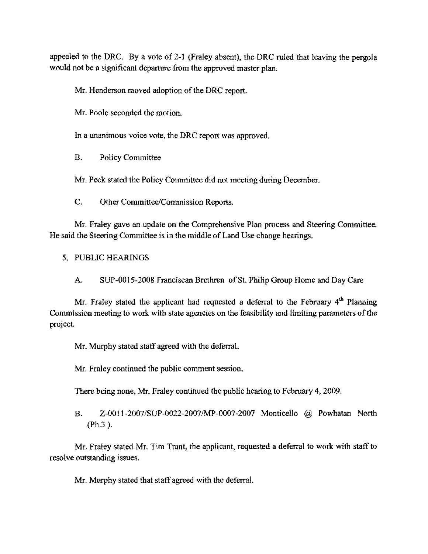appealed to the DRC. By a vote of 2-1 (Fraley absent), the DRC ruled that leaving the pergola would not be a significant departure from the approved master plan.

Mr. Henderson moved adoption of the DRC report.

Mr. Poole seconded the motion.

In a unanimous voice vote, the DRC report was approved.

B. Policy Committee

Mr. Peek stated the Policy Committee did not meeting during December.

C. Other Committee/Commission Reports.

Mr. Fraley gave an update on the Comprehensive Plan process and Steering Committee. He said the Steering Committee is **in** the middle of Land Use change hearings.

5. PUBLIC HEARINGS

A. SUP-0015-2008 Franciscan Brethren of St. Philip Group Home and Day Care

Mr. Fraley stated the applicant had requested a deferral to the February  $4<sup>th</sup>$  Planning Commission meeting to work with state agencies on the feasibility and limiting parameters of the project.

Mr. Murphy stated staff agreed with the deferral.

Mr. Fraley continued the public comment session.

There being none, Mr. Fraley continued the public hearing to February 4,2009.

B. Z-OOll-2007/SUP-0022-2007/MP-OO07-2007 Monticello @ Powhatan North (Ph.3 ).

Mr. Fraley stated Mr. Tim Trant, the applicant, requested a deferral to work with staff to resolve outstanding issues.

Mr. Murphy stated that staff agreed with the deferral.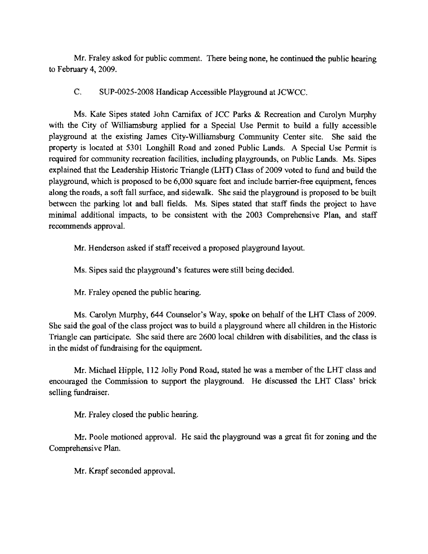Mr. Fraley asked for public comment. There being none, he continued the public hearing to February 4, 2009.

C. SUP-0025-2oo8 Handicap Accessible Playground at JCWCC.

Ms. Kate Sipes stated John Camifax of JCC Parks & Recreation and Carolyn Murphy with the City of Williamsburg applied for a Special Use Permit to build a fully accessible playground at the existing James City-Williamsburg Community Center site. She said the property is located at 5301 Longhill Road and zoned Public Lands. A Special Use Pcrmit is required for community recreation facilities, including playgrounds, on Public Lands. Ms. Sipes explained that the Leadership Historic Triangle (LHT) Class of 2009 voted to fund and build the playground, which is proposed to be 6,000 square feet and include barrier-free equipment, fences along the roads, a soft fall surface, and sidewalk. She said the playground is proposed to be built between the parking lot and ball fields. Ms. Sipes stated that staff fmds the project to have minimal additional impacts, to be consistent with the 2003 Comprehensive Plan, and staff recommends approval.

Mr. Henderson asked if staff reeeived a proposed playground layout.

Ms. Sipes said the playground's features were still being decided.

Mr. Fraley opened the public hearing.

Ms. Carolyn Murphy, 644 Counselor's Way, spoke on behalf of the LHT Class of 2009. She said the goal of the class project was to build a playground where all children in the Historic Triangle can participate. She said there are 2600 local children with disabilities, and the class is in the midst of fundraising for the equipment.

Mr. Michael Hipple, 112 Jolly Pond Road, stated he was a member of the LHT class and encouraged the Commission to support the playground. He discussed the LHT Class' brick selling fundraiser.

Mr. Fraley closed the public hearing.

Mr. Poole motioned approval. He said the playground was a great fit for zoning and the Comprehensive Plan.

Mr. Krapf seconded approval.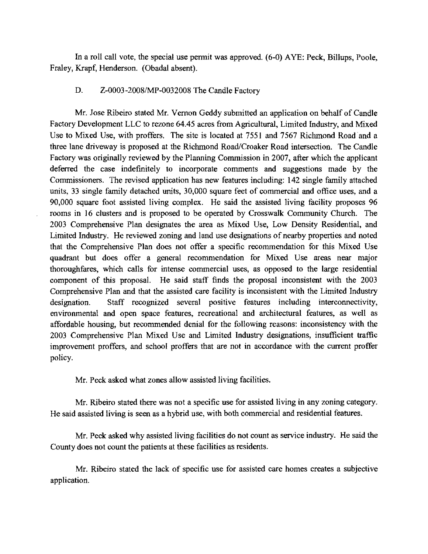In a roll call vote, the special use permit was approved. (6-0) AYE; Peck, Billups, Poole, Fraley, Krapf, Henderson. (Obadal absent).

#### D. Z-0003-2008/MP-0032008 The Candle Factory

Mr. Jose Ribeiro stated Mr. Vernon Geddy submitted an application on behalf of Candle Factory Development LLC to rezone 64.45 acres from Agricultural, Limited Industry, and Mixed Use to Mixed Use, with proffers. The site is located at 7551 and 7567 Richmond Road and a threc lane driveway is proposed at the Richmond Road/Croaker Road intersection. The Candle Factory was originally reviewed by the Planning Commission in 2007, after which the applicant deferred the case indefinitely to incorporate comments and suggestions made by the Commissioners. The revised application has new features including; 142 single family attached units, 33 single family detached units, 30,000 square fect of commercial and office uses, and a 90,000 square foot assisted living complex. He said the assisted living facility proposes 96 rooms in 16 clusters and is proposed to be operated by Crosswalk Community Church. The 2003 Comprehensive Plan designates the area as Mixed Use, Low Density Residential, and Limited Industry. He reviewed zoning and land use designations of nearby properties and noted that the Comprehensive Plan does not offer a specific recommendation for this Mixed Use quadrant but does offer a general recommendation for Mixed Use areas near major thoroughfares, which calls for intense commercial uses, as opposed to the large residential component of this proposal. He said staff finds the proposal inconsistent with the 2003 Comprehensive Plan and that the assisted care facility is inconsistent with the Limited Industry designation. Staff recognized several positive features including interconnectivity, environmental and open space features, recrcational and architectural features, as well as affordable housing, but recommended denial for the following reasons; inconsistency with the 2003 Comprehensive Plan Mixed Use and Limited Industry designations, insufficient traffic improvement proffers, and school proffers that are not in accordance with the current proffer policy.

Mr. Peck asked what zones allow assisted living facilities.

Mr. Ribeiro stated there was not a specific use for assisted living in any zoning category. He said assisted living is seen as a hybrid use, with both commercial and residential features.

Mr. Peck asked why assisted living facilities do not count as service industry. He said the County does not count the patients at these facilities as residents.

Mr. Ribeiro stated the lack of specific use for assisted care homes creates a subjective application.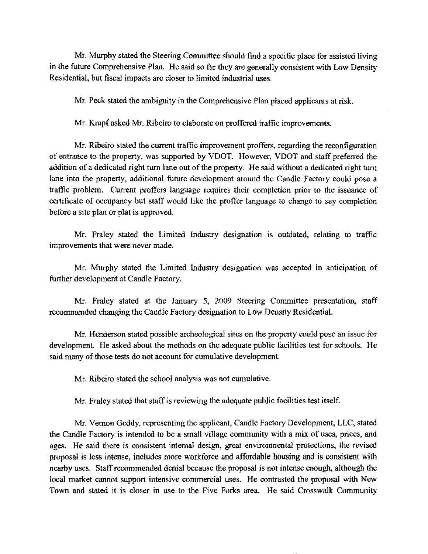Mr. Murphy stated the Steering Committee should find a specific place for assisted living in the future Comprehensive Plan. He said so far they are generally consistent with Low Density Residential, but fiscal impacts are closer to limited industrial uses.

Mr. Peck stated the ambiguity in the Comprehensive Plan placed applicants at risk.

Mr. Krapf asked Mr. Ribeiro to elaborate on proffered traffic improvements.

Mr. Ribeiro stated the current traffic improvement proffers, regarding the reconfiguration of entrance to the property, was supported by VDOT. However, VDOT and staff preferred the addition of a dedicated right tum lane out of the property. He said without a dedicated right tum lane into the property, additional future development around the Candle Factory could pose a traffic problem. Current proffers language requires their completion prior to the issuance of certificate of occupancy but staff would like the proffer language to change to say completion before a site plan or plat is approved.

Mr. Fraley stated the Limited Industry designation is outdated, relating to traffic improvements that were never made.

Mr. Murphy stated the Limited Industry designation was accepted **in** anticipation of further development at Candle Factory.

Mr. Fraley stated at the January 5, 2009 Steering Committee presentation, staff recommended changing the Candle Factory designation to Low Density Residential.

Mr. Henderson stated possible archeological sites on the property could pose an issue for development. He asked about the methods on the adequate public facilities test for schools. He said many of those tests do not account for cumulative development.

Mr. Ribeiro statcd the school analysis was not cumulative.

Mr. Fraley stated that staff is reviewing the adequate public facilities test itself.

Mr. Vernon Geddy, representing the applicant, Candle Factory Development, LLC, stated the Candle Factory is intended to be a small village community with a mix of uses, prices, and ages. He said there is consistent internal design, great environmental protections, the revised proposal is less intense, includes more workforce and affordable housing and is consistent with nearby uses. Staff recommended denial because the proposal is not intense enough, although the local market cannot support intensive commercial uses. He contrasted the proposal with New Town and stated it is closer in use to the Five Forks area. He said Crosswalk Community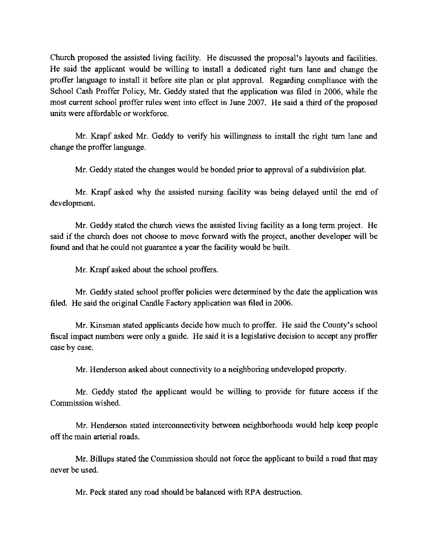Church proposed the assisted living facility. He discussed the proposal's layouts and facilities. He said the applicant would be willing to install a dedicated right turn lane and change the proffer language to install it before site plan or plat approval. Regarding compliance with the School Cash Proffer Policy, Mr. Geddy stated that the application was filed in 2006, while the most current school proffer rules went into effect in June 2007. He said a third of the proposed units were affurdable or workforce.

Mr. Krapf asked Mr. Geddy to verify his willingness to install the right tum lane and change the proffer language.

Mr. Geddy stated the changes would be bonded prior to approval of a subdivision plat.

Mr. Krapf asked why the assisted nursing facility was being delayed until the end of development.

Mr. Geddy stated the church views the assisted living facility as a long term project. He said if the church does not choose to move forward with the project, another developer will be found and that he could not guarantee a year the facility would be built.

Mr. Krapf asked about the school proffers.

Mr. Geddy stated school proffer policies were determined by the date the application was filed. He said the original Candle Factory application was filed in 2006.

Mr. Kinsman stated applicants decide how much to proffer. He said the County's school fiscal impact numbers were only a guide. He said it is a legislative decision to accept any proffer case by case.

Mr. Henderson asked about connectivity to a neighboring undeveloped property.

Mr. Geddy stated the applicant would be willing to provide for future aceess if the Commission wished.

Mr. Henderson stated interconnectivity between neighborhoods would help keep people offthe main arterial roads.

Mr. Billups stated the Commission should not force the applicant to build a road that may never be used.

Mr. Peck stated any road should be balanced with RPA destruction.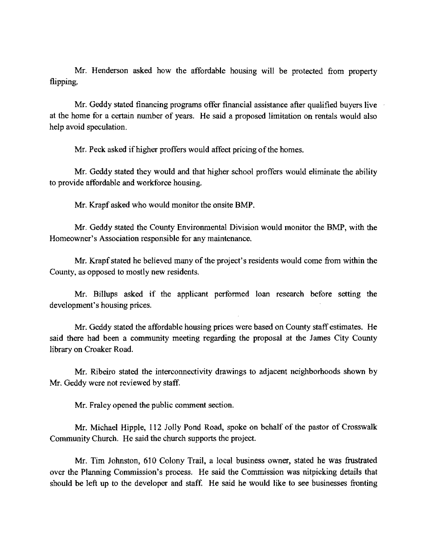Mr. Henderson asked how the affordable housing will be protected from property flipping.

Mr. Geddy stated financing programs offer financial assistance after qualified buyers live at the home for a certain number of years. He said a proposed limitation on rentals would also help avoid speculation.

Mr. Peck asked if higher proffers would affect pricing of the homes.

Mr. Geddy stated they would and that higher school proffers would eliminate the ability to provide affordable and workforce housing.

Mr. Krapf asked who would monitor the onsite BMP.

Mr. Geddy stated the County Environmental Division would monitor the BMP, with the Homeowner's Association responsible for any maintenance.

Mr. Krapf stated he believed many of the project's residents would come from within the County, as opposed to mostly new residents.

Mr. Billups asked if the applicant performed loan research before setting the development's housing prices.

Mr. Geddy stated the affordable housing prices were based on County staff estimates. He said there had been a community meeting regarding the proposal at the James City County library on Croaker Road.

Mr. Ribeiro stated the interconnectivity drawings to adjacent neighborhoods shown by Mr. Geddy were not reviewed by staff.

Mr. Fraley opened the public comment section.

Mr. Michael Hipple, 112 Jolly Pond Road, spoke on behalf of the pastor of Crosswalk Community Church. He said the church supports the project.

Mr. Tim Johnston, 610 Colony Trail, a local business owner, stated he was frustrated over the Planning Commission's process. He said the Commission was nitpicking details that should be left up to the developer and staff. He said he would like to see businesses fronting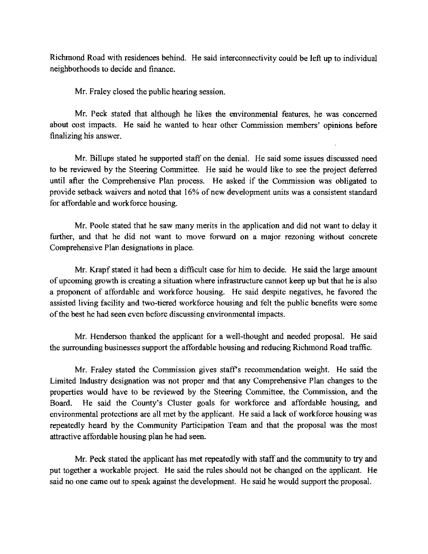Richmond Road with residences behind. He said interconnectivity could be left up to individual neighborhoods to decide and finance.

Mr. Fraley closed the public hearing session.

Mr. Peck stated that although he likes the environmental features, he was concerned about cost impacts. He said he wanted to hear other Commission members' opinions before finalizing his answer.

Mr. Billups stated he supported staff on the denial. He said some issues discussed need to be reviewed by the Steering Committee. He said he would like to see the project deferred until after the Comprehensive Plan process. He asked if the Commission was obligated to provide setback waivers and noted that 16% of new development units was a consistent standard for affordable and workforce housing.

Mr. Poole stated that he saw many merits in the application and did not want to delay it further, and that he did not want to move forward on a major rezoning without concrete Comprehensive Plan designations in place.

Mr. Krapf stated it had been a difficult case for him to decide. He said the large amount of upcoming growth is creating a situation where infrastructure cannot keep up but that he is also a proponent of affordable and workforce housing. He said despite negatives, he favored the assisted living facility and two-tiered workforce housing and felt the publie benefits were some of the best he had seen even before discussing environmental impacts.

Mr. Henderson thanked the applicant for a well-thought and needed proposal. He said the surrounding businesses support the affordable housing and reducing Richmond Road traffic.

Mr. Fraley stated the Commission gives staff's recommendation weight. He said the Limited Industry designation was not proper and that any Comprehensive Plan changes to the properties would have to be reviewed by the Steering Committee, the Commission, and the Board. He said the County's Cluster goals for workforce and affordable housing, and environmental protections are all met by the applicant. He said a lack of workforce housing was repeatedly heard by the Community Participation Team and that the proposal was the most attractive affordable housing plan he had seen.

Mr. Peck stated the applicant has met repeatedly with staff and the community to try and put together a workable project. He said the rules should not be changed on the applicant. He said no one came out to speak against the development. He said he would support the proposal.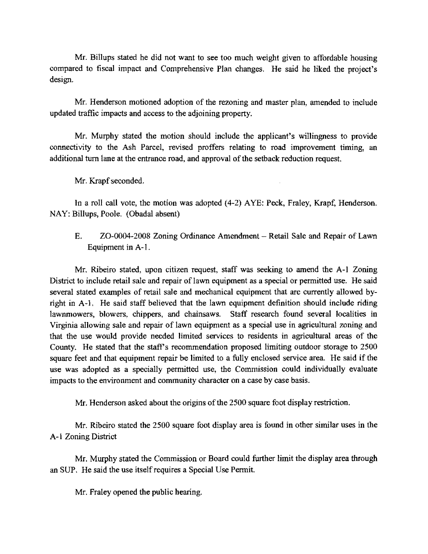Mr. Billups stated he did not want to see too much weight given to affordable housing compared to fiscal impact and Comprehensive Plan changes. He said he liked the project's design.

Mr. Henderson motioned adoption of the rezoning and master plan, amended to include updated traffic impacts and access to the adjoining property.

Mr. Murphy stated the motion should include the applicant's willingness to provide connectivity to the Ash Parcel, revised proffers relating to road improvement timing, an additional turn lane at the entrance road, and approval of the setback reduction request.

Mr. Krapf seconded.

In a roll call vote, the motion was adopted (4-2) AYE: Peck, Fraley, Krapf, Henderson. NAY: Billups, Poole. (Obadal absent)

E. ZO-0004-2008 Zoning Ordinance Amendment – Retail Sale and Repair of Lawn Equipment in A-I.

Mr. Ribeiro stated, upon citizen request, staff was seeking to amend the A-I Zoning District to include retail sale and repair of lawn equipment as a special or permitted use. He said several stated examples of retail sale and mechanical equipment that are currently allowed byright in A-I. He said staff believed that the lawn equipment definition should include riding lawnmowers, blowers, chippers, and chainsaws. Staff research found several localities in Virginia allowing sale and repair of lawn equipment as a special use in agricultural zoning and that the use would provide needed limited services to residents in agricultural areas of the County. He stated that the staff's recommendation proposed limiting outdoor storage to 2500 square feet and that equipment repair be limited to a fully enclosed service area. He said if the use was adopted as a specially permitted use, the Commission could individually evaluate impacts to the environment and community character on a case by case basis.

Mr. Henderson asked about the origins of the 2500 square foot display restriction.

Mr. Ribeiro stated the 2500 square foot display area is found in other similar uses in the A-I Zoning District

Mr. Murphy stated the Commission or Board could further limit the display area through an SUP. He said the use itself requires a Special Use Permit.

Mr. Fraley opened the public hearing.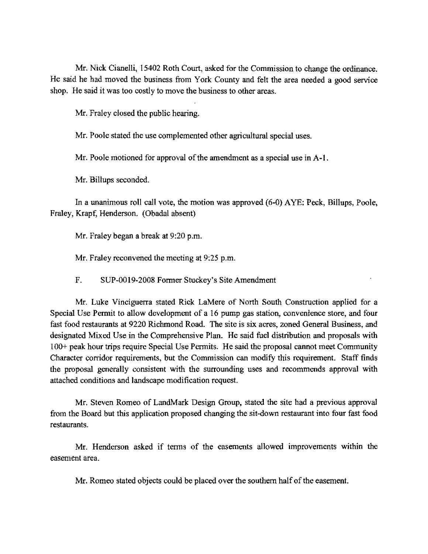Mr. Nick Cianelli, 15402 Roth Court, asked for the Commission to change the ordinance. He said he had moved the business from York County and felt the area needed a good service shop. He said it was too costly to move the business to other areas.

Mr. Fraley closed the public hearing.

Mr. Poole stated the use complemented other agricultural special uses.

Mr. Poole motioned for approval of the amendment as a special use in A-1.

Mr. Billups seconded.

In a unanimous roll call vote, the motion was approved (6-0) AYE: Peck, Billups, Poole, Fraley, Krapf, Henderson. (Obadal absent)

Mr. Fraley began a break at 9:20 p.m.

Mr. Fraley reconvened the meeting at 9:25 p.m.

F. SUP-0019-2008 Former Stuckey's Site Amendment

Mr. Luke Vinciguerra stated Riek LaMere of North South Construction applied for a Special Use Permit to allow development of a 16 pump gas station, convenience store, and four fast food restaurants at 9220 Richmond Road. The site is six acres, zoned General Business, and designated Mixed Use in the Comprehensive Plan. He said fuel distribution and proposals with 100+ peak hour trips require Special Use Permits. He said the proposal cannot meet Community Character corridor requirements, but the Commission can modify this requirement. Staff finds the proposal generally consistent with the surrounding uses and recommends approval with attached conditions and landscape modification request.

Mr. Steven Romeo of LandMark Design Group, stated the sitc had a previous approval from the Board but this application proposed changing the sit-down restaurant into four fast food restaurants.

Mr. Henderson asked if terms of the easements allowed improvements within the easement area.

Mr. Romeo stated objects could be placed over the southem half of the easement.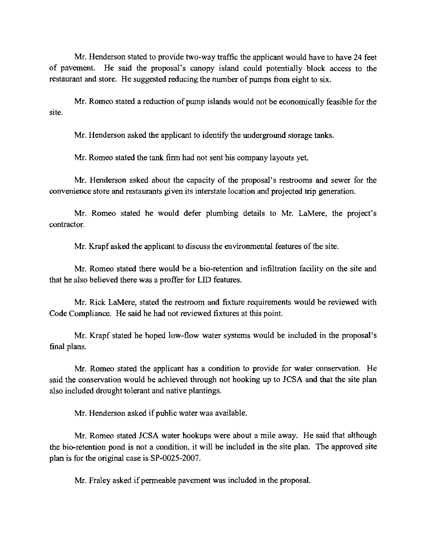Mr. Henderson stated to provide two-way traffic the applicant would have to have 24 feet of pavement. He said the proposal's canopy island could potentially block access to the restanrant and store. He suggested reducing the number of pumps from eight to six.

Mr. Romeo stated a reduction of pump islands would not be economically feasible for the site.

Mr. Henderson asked the applicant to identify the underground storage tanks.

Mr. Romeo stated the tank firm had not sent his company layouts yet.

Mr. Henderson asked about the capacity of the proposal's restrooms and sewer for the convenience store and restaurants given its interstate location and projected trip generation.

Mr. Romeo stated he would defer plumbing details to Mr. LaMere, the project's contractor.

Mr. Krapf asked the applicant to discuss the environmental featnres of the site.

Mr. Romeo stated there would be a bio-retention and infiltration facility on the site and that he also believed there was a proffer for LID featnres.

Mr. Rick LaMere, stated the restroom and fixture requirements would be reviewed with Code Compliance. He said he had not reviewed fixtures at this point.

Mr. Krapf stated he hoped low-flow water systems would be included in the proposal's final plans.

Mr. Romeo stated the applicant has a condition to provide for water conservation. He said the conservation would be achieved through not hooking up to JCSA and that the site plan also included drought tolerant and native plantings.

Mr. Henderson asked if public water was available.

Mr. Romco stated JCSA water hookups were about a mile away. He said that although the bio-retention pond is not a condition, it will be included in the site plan. The approved site plan is for the original case is SP-0025-2007.

Mr. Fraley asked if permeable pavement was included in the proposal.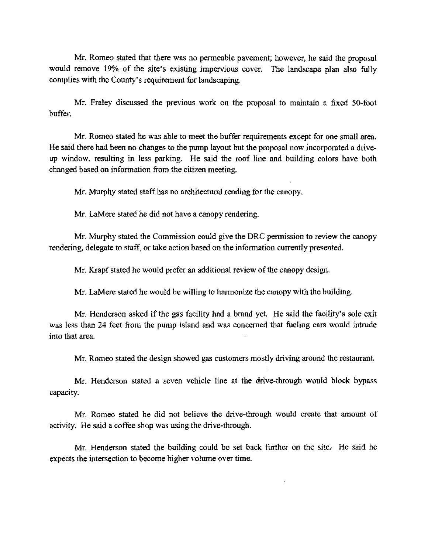Mr. Romeo stated that there was no penneable pavement; however, he said the proposal would remove 19% of the site's existing impervious cover. The landscape plan also fully complies with the County's requirement for landscaping.

Mr. Fraley discussed the previous work on the proposal to maintain a fixed 50-foot buffer.

Mr. Romeo stated he was able to meet the buffer requirements except for one small area. He said there had been no changes to the pump layout but the proposal now incorporated a driveup window, resulting in less parking. He said the roof line and building colors have both changed based on information from the citizen meeting.

Mr. Murphy stated staff has no architectural rending for the canopy.

Mr. LaMere stated he did not have a canopy rendering.

Mr. Murphy stated the Commission could give the DRC permission to review the canopy rendering, delegate to staff, or take action based on the infonnation currently presented.

Mr. Krapf stated he would prefer an additional review of the canopy design.

Mr. LaMere stated he would be willing to harmonize the canopy with the building.

Mr. Henderson asked if the gas facility had a brand yet. He said the facility's sole exit was less than 24 feet from the pump island and was concerned that fueling cars would intrude into that area.

Mr. Romeo stated the design showed gas customers mostly driving around the restaurant.

Mr. Henderson stated a seven vehicle line at the drive-through would block bypass capacity.

Mr. Romeo stated he did not believe the drive-through would create that amount of activity. He said a coffee shop was using the drive-through.

Mr. Henderson stated the building could be set back further on the site. He said he expects the intersection to become higher volume over time.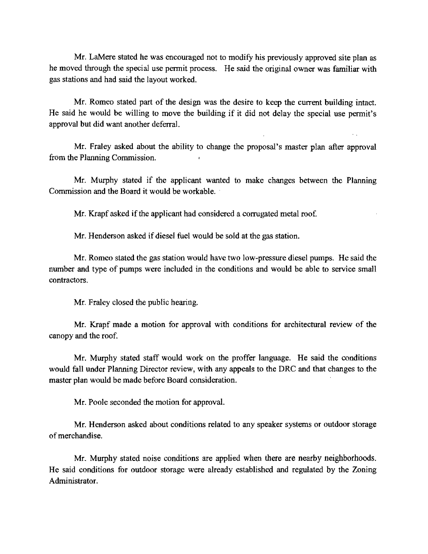Mr. LaMere stated he was encouraged not to modify his previously approved site plan as he moved through the special use permit process. He said the original owner was familiar with gas stations and had said the layout worked.

Mr. Romeo stated part of the design was the desire to keep the current building intact. He said he would be willing to move the building if it did not delay the special use permit's approval but did want another deferral.

Mr. Fraley asked about the ability to change the proposal's master plan after approval from the Planning Commission.

Mr. Murphy stated if the applicant wanted to make changes between the Planning Commission and the Board it would be workable.

Mr. Krapf asked if the applicant had considered a corrugated metal roof.

Mr. Henderson asked if diesel fuel would be sold at the gas station.

Mr. Romeo stated the gas station would have two low-pressure diesel pumps. He said the number and type of pumps were included in the conditions and would be able to service small contractors.

Mr. Fraley closed the public hearing.

Mr. Krapf made a motion for approval with conditions for architectural review of the canopy and the roof.

Mr. Murphy stated staff would work on the proffer language. He said the conditions would fall under Planning Director review, with any appcals to the DRC and that changes to the master plan would be made before Board consideration.

Mr. Poole seconded the motion for approval.

Mr. Henderson asked about conditions related to any speaker systems or outdoor storage of merchandise.

Mr. Murphy stated noise conditions are applied when there are nearby neighborhoods. He said conditions for outdoor storage were already established and regulated by the Zoning Administrator.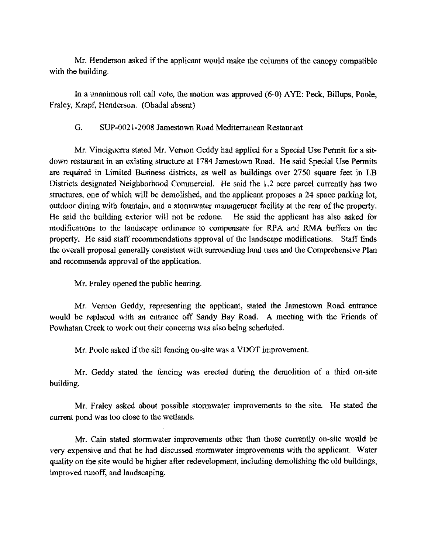Mr. Henderson asked if the applicant would make the columns of the canopy compatible with the building.

In a unanimous roll call vote, the motion was approved (6-0) AYE: Peck, Billups, Poole, Fraley, Krapf, Henderson. (Obadal absent)

G. SUP-0021-2008 Jamestown Road Mediterranean Restaurant

Mr. Vinciguerra stated Mr. Vernon Geddy had applied for a Special Use Pennit for a sitdown restaurant in an existing structure at 1784 Jamestown Road. He said Special Use Permits are required in Limited Business districts, as well as buildings over 2750 square feet in LB Districts designated Neighborhood Commercial. He said the 1.2 acre parcel currently has two structures, one of which will be demolished, and the applicant proposes a 24 space parking lot, outdoor dining with fountain, and a storrnwater management facility at the rear of the property. He said the building exterior will not be redone. He said the applicant has also asked for modifications to the landscape ordinance to compensate for RPA and RMA buffers on the property. He said staff recommendations approval of the landscape modifications. Staff finds the overall proposal generally consistent with surrounding land uses and the Comprehensive Plan and recommends approval of the application.

Mr. Fraley opened the public hearing.

Mr. Vernon Geddy, representing the applicant, stated the Jamestown Road entrance would be replaced with an entrance off Sandy Bay Road. A meeting with the Friends of Powhatan Creek to work out their concerns was also being scheduled.

Mr. Poole asked if the silt fencing on-site was a VDOT improvement.

Mr. Geddy stated the fencing was erected during the demolition of a third on-site building.

Mr. Fraley asked about possible storrnwater improvements to the site. He stated the current pond was too close to the wetlands.

Mr. Cain stated storrnwater improvements other than those currently on-site would be very expensive and that he had discussed storrnwater improvements with the applicant. Water quality on the site would be higher after redevelopment, including demolishing the old buildings, improved runoff, and landscaping.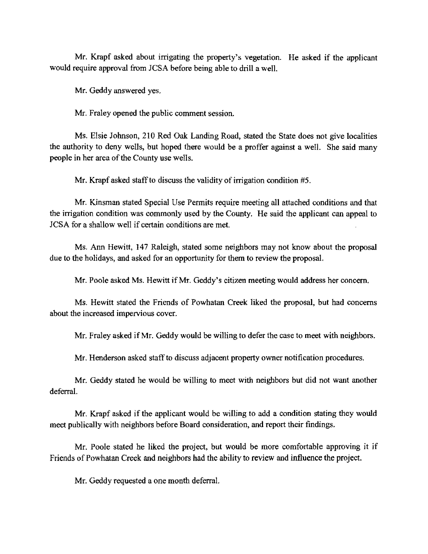Mr. Krapf asked about irrigating the property's vegetation. He asked if the applicant would require approval from JCSA before being able to drill a well.

Mr. Geddy answered yes.

Mr. Fraley opened the public comment session.

Ms. Elsie Johnson, 210 Red Oak Landing Road, stated the State does not give localities the authority to deny wells, but hoped there would be a proffer against a well. She said many people in her area of the County use wells.

Mr. Krapf asked staff to discuss the validity of irrigation condition #5.

Mr. Kinsman stated Special Use Permits require meeting all attached conditions and that the irrigation condition was commonly used by the County. He said the applicant can appeal to JCSA for a shallow well if certain conditions are met.

Ms. Ann Hewitt, 147 Raleigh, stated some neighbors may not know about the proposal due to the holidays, and asked for an opportunity for them to review the proposal.

Mr. Poole asked Ms. Hewitt if Mr. Geddy's citizen meeting would address her concern.

Ms. Hewitt stated the Friends of Powhatan Creek liked the proposal, but had coneems about the increased impervious cover.

Mr. Fraley asked if Mr. Geddy would be willing to defer the case to meet with neighbors.

Mr. Henderson asked staff to discuss adjacent property owner notification procedures.

Mr. Geddy stated he would be willing to meet with neighbors but did not want another deferral.

Mr. Krapf asked if the applicant would be willing to add a condition stating they would meet publically with neighbors before Board consideration, and report their findings.

Mr. Poole stated he liked the project, but would be more comfortable approving it if Friends of Powhatan Creek and neighbors had the ability to review and influence the project.

Mr. Geddy requested a one month deferral.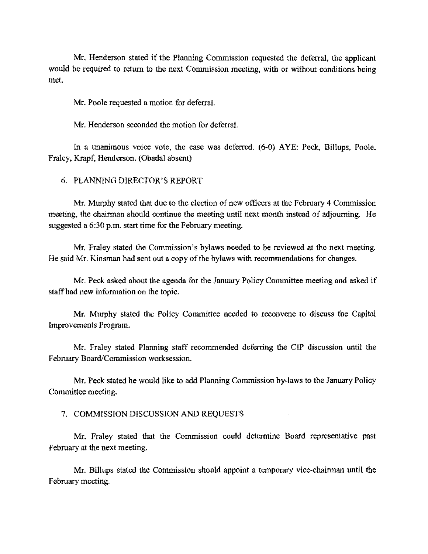Mr. Henderson stated if the Planning Commission requested the deferral, the applicant would be required to return to the next Commission meeting, with or without conditions being met.

Mr. Poole requested a motion for deferral.

Mr. Henderson seconded the motion for deferral.

In a unanimous voice vote, the case was deferred. (6-0) AYE: Peek, Billups, Poole, Fraley, Krapf, Henderson. (Obadal absent)

#### 6. PLANNING DIRECTOR'S REPORT

Mr. Murphy stated that due to the election of new officers at the February 4 Commission meeting, the chairman should continue the meeting until next month instead of adjourning. He suggested a 6:30 p.m. start time for the February meeting.

Mr. Fraley stated the Commission's bylaws needed to be reviewed at the next meeting. He said Mr. Kinsman had sent out a copy of the bylaws with recommendations for changes.

Mr. Peck asked about the agenda for the January Policy Committee meeting and asked if staffhad new information on the topic.

Mr. Murphy stated the Policy Committee needed to reconvene to discuss the Capital Improvements Program.

Mr. Fraley stated Planning staff recommended deferring the CIP discussion until the February Board/Commission worksession.

Mr. Peck stated he would like to add Planning Commission by-laws to the January Policy Committee meeting.

7. COMMISSION DISCUSSION AND REQUESTS

Mr. Fraley stated that the Commission could determine Board representative past February at the next meeting.

Mr. Billups stated the Commission should appoint a temporary vice-chairman until the February meeting.